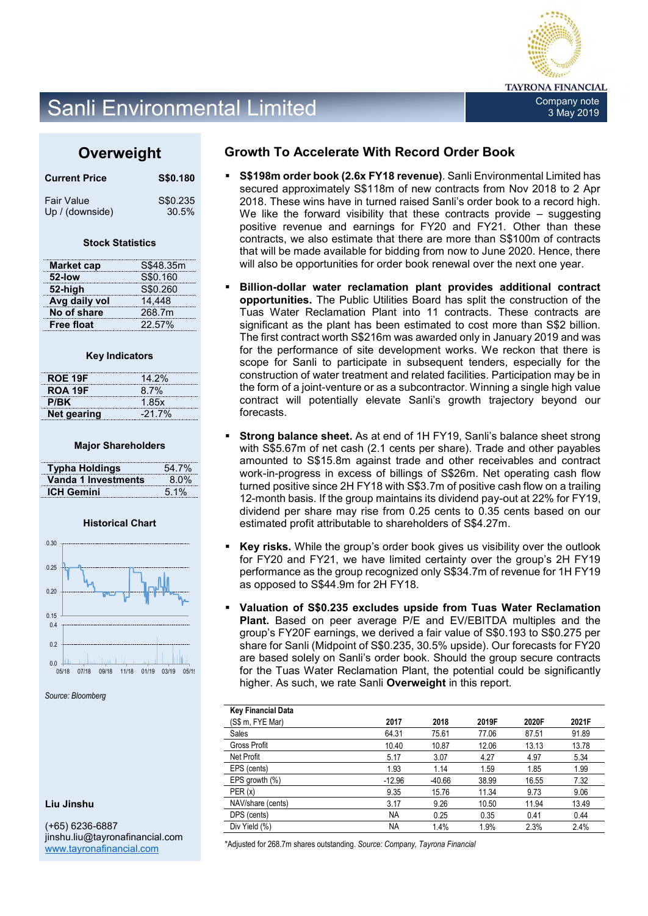

## Sanli Environmental Limited Company note and Report of the Company note

## **Overweight**

| <b>Current Price</b> | S\$0.180 |
|----------------------|----------|
| <b>Fair Value</b>    | S\$0.235 |
| Up / (downside)      | 30.5%    |

#### **Stock Statistics**

| <b>Market cap</b> | S\$48.35m |
|-------------------|-----------|
| 52-low            | S\$0.160  |
| 52-high           | S\$0.260  |
| Avg daily vol     | 14.448    |
| No of share       | 268.7m    |
| <b>Free float</b> | 22.57%    |

#### **Key Indicators**

| ROE 19F     | 14.2%    |
|-------------|----------|
| ROA 19F     | 8.7%     |
| P/BK        | 1.85x    |
| Net gearing | $-21.7%$ |

#### **Major Shareholders**

| <b>Typha Holdings</b> | 54.7%   |
|-----------------------|---------|
| Vanda 1 Investments   | $8.0\%$ |
| <b>ICH Gemini</b>     | 5.1%    |

### **Historical Chart**



*Source: Bloomberg*

### **Liu Jinshu**

(+65) 6236-6887 jinshu.liu@tayronafinancial.com [www.tayronafinancial.com](http://www.tayronafinancial.com/)

## **Growth To Accelerate With Record Order Book**

- **S\$198m order book (2.6x FY18 revenue)**. Sanli Environmental Limited has secured approximately S\$118m of new contracts from Nov 2018 to 2 Apr 2018. These wins have in turned raised Sanli's order book to a record high. We like the forward visibility that these contracts provide – suggesting positive revenue and earnings for FY20 and FY21. Other than these contracts, we also estimate that there are more than S\$100m of contracts that will be made available for bidding from now to June 2020. Hence, there will also be opportunities for order book renewal over the next one year.
- **Billion-dollar water reclamation plant provides additional contract opportunities.** The Public Utilities Board has split the construction of the Tuas Water Reclamation Plant into 11 contracts. These contracts are significant as the plant has been estimated to cost more than S\$2 billion. The first contract worth S\$216m was awarded only in January 2019 and was for the performance of site development works. We reckon that there is scope for Sanli to participate in subsequent tenders, especially for the construction of water treatment and related facilities. Participation may be in the form of a joint-venture or as a subcontractor. Winning a single high value contract will potentially elevate Sanli's growth trajectory beyond our forecasts.
- **Strong balance sheet.** As at end of 1H FY19, Sanli's balance sheet strong with S\$5.67m of net cash (2.1 cents per share). Trade and other payables amounted to S\$15.8m against trade and other receivables and contract work-in-progress in excess of billings of S\$26m. Net operating cash flow turned positive since 2H FY18 with S\$3.7m of positive cash flow on a trailing 12-month basis. If the group maintains its dividend pay-out at 22% for FY19, dividend per share may rise from 0.25 cents to 0.35 cents based on our estimated profit attributable to shareholders of S\$4.27m.
- **Key risks.** While the group's order book gives us visibility over the outlook for FY20 and FY21, we have limited certainty over the group's 2H FY19 performance as the group recognized only S\$34.7m of revenue for 1H FY19 as opposed to S\$44.9m for 2H FY18.
- **Valuation of S\$0.235 excludes upside from Tuas Water Reclamation Plant.** Based on peer average P/E and EV/EBITDA multiples and the group's FY20F earnings, we derived a fair value of S\$0.193 to S\$0.275 per share for Sanli (Midpoint of S\$0.235, 30.5% upside). Our forecasts for FY20 are based solely on Sanli's order book. Should the group secure contracts for the Tuas Water Reclamation Plant, the potential could be significantly higher. As such, we rate Sanli **Overweight** in this report.

| <b>Key Financial Data</b> |           |          |       |       |       |
|---------------------------|-----------|----------|-------|-------|-------|
| (S\$ m, FYE Mar)          | 2017      | 2018     | 2019F | 2020F | 2021F |
| <b>Sales</b>              | 64.31     | 75.61    | 77.06 | 87.51 | 91.89 |
| <b>Gross Profit</b>       | 10.40     | 10.87    | 12.06 | 13.13 | 13.78 |
| Net Profit                | 5.17      | 3.07     | 4.27  | 4.97  | 5.34  |
| EPS (cents)               | 1.93      | 1.14     | 1.59  | 1.85  | 1.99  |
| EPS growth $(\%)$         | $-12.96$  | $-40.66$ | 38.99 | 16.55 | 7.32  |
| PER(x)                    | 9.35      | 15.76    | 11.34 | 9.73  | 9.06  |
| NAV/share (cents)         | 3.17      | 9.26     | 10.50 | 11.94 | 13.49 |
| DPS (cents)               | <b>NA</b> | 0.25     | 0.35  | 0.41  | 0.44  |
| Div Yield (%)             | <b>NA</b> | 1.4%     | 1.9%  | 2.3%  | 2.4%  |

\*Adjusted for 268.7m shares outstanding. *Source: Company, Tayrona Financial*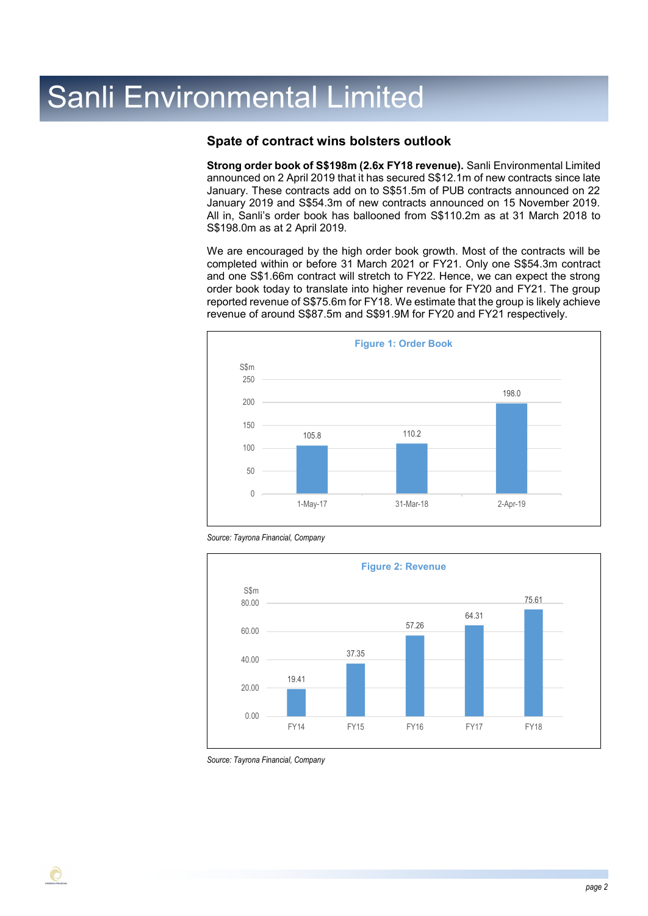## **Spate of contract wins bolsters outlook**

**Strong order book of S\$198m (2.6x FY18 revenue).** Sanli Environmental Limited announced on 2 April 2019 that it has secured S\$12.1m of new contracts since late January. These contracts add on to S\$51.5m of PUB contracts announced on 22 January 2019 and S\$54.3m of new contracts announced on 15 November 2019. All in, Sanli's order book has ballooned from S\$110.2m as at 31 March 2018 to S\$198.0m as at 2 April 2019.

We are encouraged by the high order book growth. Most of the contracts will be completed within or before 31 March 2021 or FY21. Only one S\$54.3m contract and one S\$1.66m contract will stretch to FY22. Hence, we can expect the strong order book today to translate into higher revenue for FY20 and FY21. The group reported revenue of S\$75.6m for FY18. We estimate that the group is likely achieve revenue of around S\$87.5m and S\$91.9M for FY20 and FY21 respectively.







*Source: Tayrona Financial, Company*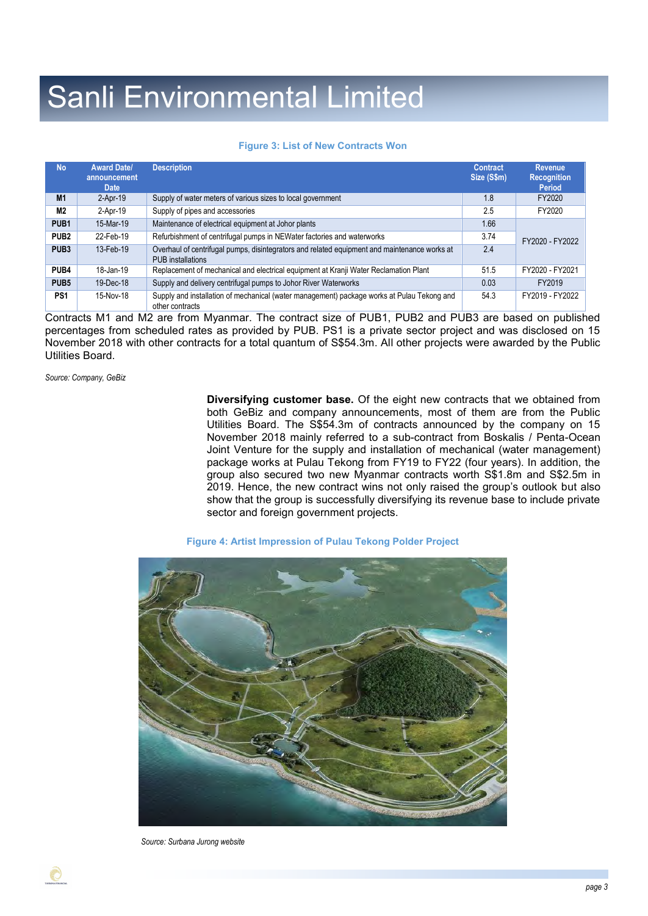### **Figure 3: List of New Contracts Won**

| <b>No</b>        | <b>Award Date/</b><br>announcement<br><b>Date</b> | <b>Description</b>                                                                                                | <b>Contract</b><br>Size (S\$m) | Revenue,<br><b>Recognition</b><br><b>Period</b> |
|------------------|---------------------------------------------------|-------------------------------------------------------------------------------------------------------------------|--------------------------------|-------------------------------------------------|
| M <sub>1</sub>   | $2-Apr-19$                                        | Supply of water meters of various sizes to local government                                                       | 1.8                            | FY2020                                          |
| <b>M2</b>        | $2-Apr-19$                                        | Supply of pipes and accessories                                                                                   | 2.5                            | FY2020                                          |
| PUB <sub>1</sub> | 15-Mar-19                                         | Maintenance of electrical equipment at Johor plants                                                               | 1.66                           |                                                 |
| PUB <sub>2</sub> | 22-Feb-19                                         | Refurbishment of centrifugal pumps in NEWater factories and waterworks                                            | 3.74                           | FY2020 - FY2022                                 |
| PUB <sub>3</sub> | 13-Feb-19                                         | Overhaul of centrifugal pumps, disintegrators and related equipment and maintenance works at<br>PUB installations | 2.4                            |                                                 |
| PUB4             | 18-Jan-19                                         | Replacement of mechanical and electrical equipment at Kranji Water Reclamation Plant                              | 51.5                           | FY2020 - FY2021                                 |
| PUB <sub>5</sub> | 19-Dec-18                                         | Supply and delivery centrifugal pumps to Johor River Waterworks                                                   | 0.03                           | FY2019                                          |
| PS1              | 15-Nov-18                                         | Supply and installation of mechanical (water management) package works at Pulau Tekong and<br>other contracts     | 54.3                           | FY2019 - FY2022                                 |

Contracts M1 and M2 are from Myanmar. The contract size of PUB1, PUB2 and PUB3 are based on published percentages from scheduled rates as provided by PUB. PS1 is a private sector project and was disclosed on 15 November 2018 with other contracts for a total quantum of S\$54.3m. All other projects were awarded by the Public Utilities Board.

*Source: Company, GeBiz*

**Diversifying customer base.** Of the eight new contracts that we obtained from both GeBiz and company announcements, most of them are from the Public Utilities Board. The S\$54.3m of contracts announced by the company on 15 November 2018 mainly referred to a sub-contract from Boskalis / Penta-Ocean Joint Venture for the supply and installation of mechanical (water management) package works at Pulau Tekong from FY19 to FY22 (four years). In addition, the group also secured two new Myanmar contracts worth S\$1.8m and S\$2.5m in 2019. Hence, the new contract wins not only raised the group's outlook but also show that the group is successfully diversifying its revenue base to include private sector and foreign government projects.

### **Figure 4: Artist Impression of Pulau Tekong Polder Project**



 *Source: Surbana Jurong website*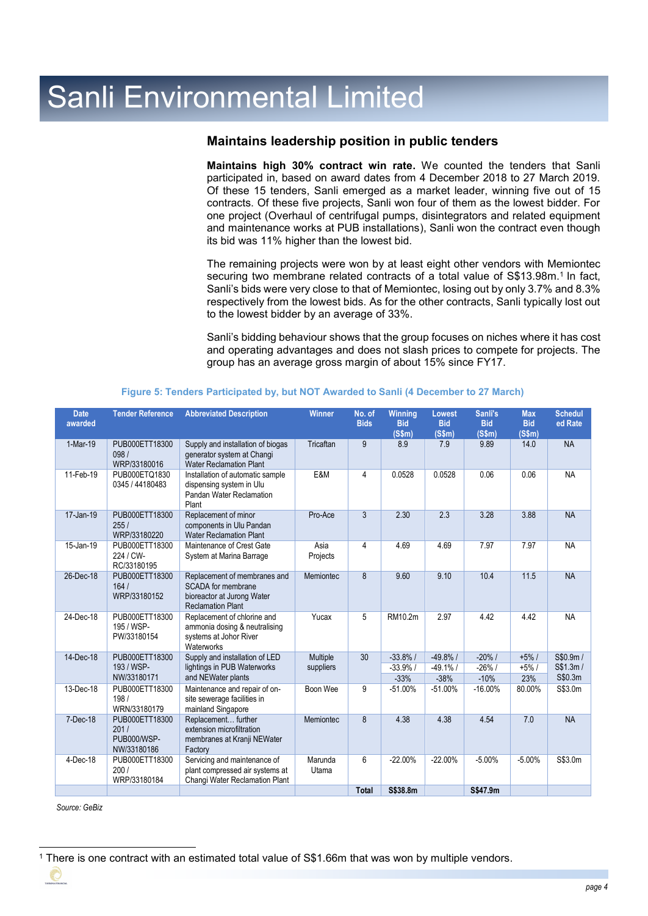## **Maintains leadership position in public tenders**

**Maintains high 30% contract win rate.** We counted the tenders that Sanli participated in, based on award dates from 4 December 2018 to 27 March 2019. Of these 15 tenders, Sanli emerged as a market leader, winning five out of 15 contracts. Of these five projects, Sanli won four of them as the lowest bidder. For one project (Overhaul of centrifugal pumps, disintegrators and related equipment and maintenance works at PUB installations), Sanli won the contract even though its bid was 11% higher than the lowest bid.

The remaining projects were won by at least eight other vendors with Memiontec securing two membrane related contracts of a total value of S\$13.98m.<sup>1</sup> In fact, Sanli's bids were very close to that of Memiontec, losing out by only 3.7% and 8.3% respectively from the lowest bids. As for the other contracts, Sanli typically lost out to the lowest bidder by an average of 33%.

Sanli's bidding behaviour shows that the group focuses on niches where it has cost and operating advantages and does not slash prices to compete for projects. The group has an average gross margin of about 15% since FY17.

| <b>Date</b><br>awarded | <b>Tender Reference</b>                              | <b>Abbreviated Description</b>                                                                               | <b>Winner</b>    | No. of<br><b>Bids</b> | Winning<br><b>Bid</b><br>(S\$m) | <b>Lowest</b><br><b>Bid</b><br>(S\$m) | Sanli's<br><b>Bid</b><br>(S\$m) | <b>Max</b><br><b>Bid</b><br>(S\$m) | <b>Schedul</b><br>ed Rate |
|------------------------|------------------------------------------------------|--------------------------------------------------------------------------------------------------------------|------------------|-----------------------|---------------------------------|---------------------------------------|---------------------------------|------------------------------------|---------------------------|
| 1-Mar-19               | PUB000ETT18300<br>098/<br>WRP/33180016               | Supply and installation of biogas<br>generator system at Changi<br><b>Water Reclamation Plant</b>            | Tricaftan        | 9                     | 8.9                             | 7.9                                   | 9.89                            | 14.0                               | <b>NA</b>                 |
| 11-Feb-19              | PUB000ETQ1830<br>0345 / 44180483                     | Installation of automatic sample<br>dispensing system in Ulu<br>Pandan Water Reclamation<br>Plant            | E&M              | 4                     | 0.0528                          | 0.0528                                | 0.06                            | 0.06                               | <b>NA</b>                 |
| 17-Jan-19              | PUB000ETT18300<br>255/<br>WRP/33180220               | Replacement of minor<br>components in Ulu Pandan<br><b>Water Reclamation Plant</b>                           | Pro-Ace          | 3                     | 2.30                            | 2.3                                   | 3.28                            | 3.88                               | <b>NA</b>                 |
| 15-Jan-19              | PUB000ETT18300<br>224 / CW-<br>RC/33180195           | Maintenance of Crest Gate<br>System at Marina Barrage                                                        | Asia<br>Projects | 4                     | 4.69                            | 4.69                                  | 7.97                            | 7.97                               | <b>NA</b>                 |
| 26-Dec-18              | PUB000ETT18300<br>164/<br>WRP/33180152               | Replacement of membranes and<br>SCADA for membrane<br>bioreactor at Jurong Water<br><b>Reclamation Plant</b> | <b>Memiontec</b> | 8                     | 9.60                            | 9.10                                  | 10.4                            | 11.5                               | <b>NA</b>                 |
| 24-Dec-18              | PUB000ETT18300<br>195 / WSP-<br>PW/33180154          | Replacement of chlorine and<br>ammonia dosing & neutralising<br>systems at Johor River<br>Waterworks         | Yucax            | 5                     | RM10.2m                         | 2.97                                  | 4.42                            | 4.42                               | <b>NA</b>                 |
| 14-Dec-18              | PUB000ETT18300                                       | Supply and installation of LED                                                                               | Multiple         | 30                    | $-33.8%/$                       | $-49.8%$ /                            | $-20\%$ /                       | $+5%/$                             | S\$0.9m/                  |
|                        | 193 / WSP-<br>NW/33180171                            | lightings in PUB Waterworks<br>and NEWater plants                                                            | suppliers        |                       | $-33.9%$ /<br>$-33%$            | $-49.1%$<br>$-38%$                    | $-26%$ /<br>$-10%$              | $+5%/$<br>23%                      | S\$1.3m/<br>S\$0.3m       |
| 13-Dec-18              | PUB000ETT18300<br>198/<br>WRN/33180179               | Maintenance and repair of on-<br>site sewerage facilities in<br>mainland Singapore                           | Boon Wee         | 9                     | $-51.00%$                       | $-51.00%$                             | $-16.00%$                       | 80.00%                             | S\$3.0m                   |
| 7-Dec-18               | PUB000ETT18300<br>201/<br>PUB000/WSP-<br>NW/33180186 | Replacement further<br>extension microfiltration<br>membranes at Kranji NEWater<br>Factory                   | Memiontec        | 8                     | 4.38                            | 4.38                                  | 4.54                            | 7.0                                | <b>NA</b>                 |
| $4-Dec-18$             | PUB000ETT18300<br>200/<br>WRP/33180184               | Servicing and maintenance of<br>plant compressed air systems at<br>Changi Water Reclamation Plant            | Marunda<br>Utama | 6                     | $-22.00%$                       | $-22.00%$                             | $-5.00%$                        | $-5.00%$                           | S\$3.0m                   |
|                        |                                                      |                                                                                                              |                  | <b>Total</b>          | S\$38.8m                        |                                       | S\$47.9m                        |                                    |                           |

### **Figure 5: Tenders Participated by, but NOT Awarded to Sanli (4 December to 27 March)**

*Source: GeBiz*

-

€

<sup>1</sup> There is one contract with an estimated total value of S\$1.66m that was won by multiple vendors.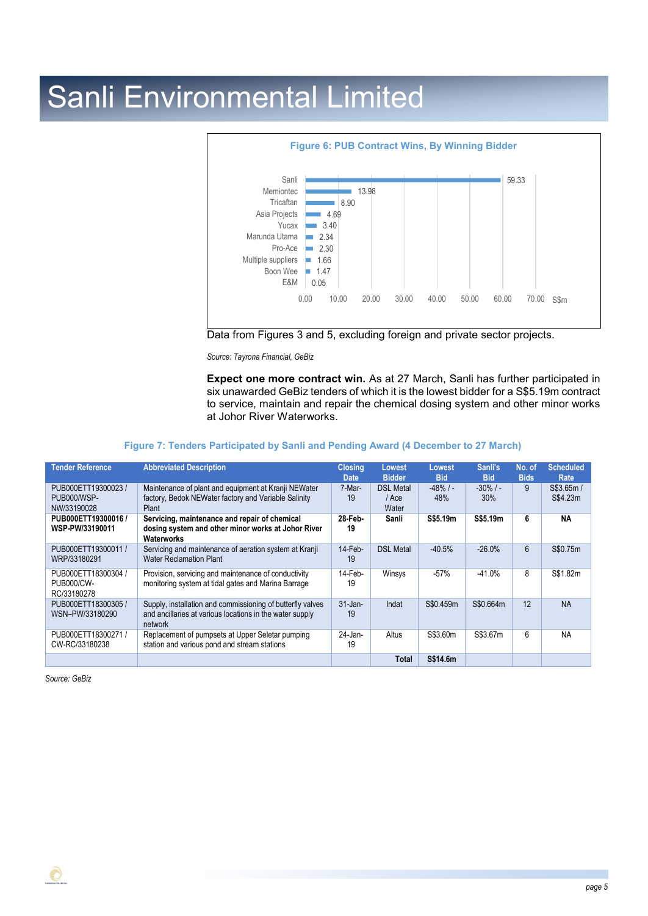

Data from Figures 3 and 5, excluding foreign and private sector projects.

*Source: Tayrona Financial, GeBiz*

**Expect one more contract win.** As at 27 March, Sanli has further participated in six unawarded GeBiz tenders of which it is the lowest bidder for a S\$5.19m contract to service, maintain and repair the chemical dosing system and other minor works at Johor River Waterworks.

### **Figure 7: Tenders Participated by Sanli and Pending Award (4 December to 27 March)**

| <b>Tender Reference</b>                                 | <b>Abbreviated Description</b>                                                                                                    | <b>Closing</b><br><b>Date</b> | Lowest<br><b>Bidder</b>            | <b>Lowest</b><br><b>Bid</b> | Sanli's<br><b>Bid</b> | No. of<br><b>Bids</b> | <b>Scheduled</b><br>Rate |
|---------------------------------------------------------|-----------------------------------------------------------------------------------------------------------------------------------|-------------------------------|------------------------------------|-----------------------------|-----------------------|-----------------------|--------------------------|
| PUB000ETT19300023 /<br>PUB000/WSP-<br>NW/33190028       | Maintenance of plant and equipment at Kranji NEWater<br>factory, Bedok NEWater factory and Variable Salinity<br>Plant             | 7-Mar-<br>19                  | <b>DSL Metal</b><br>/ Ace<br>Water | $-48\%$ / -<br>48%          | $-30\%$ / $-$<br>30%  | 9                     | S\$3.65m/<br>S\$4.23m    |
| PUB000ETT19300016 /<br>WSP-PW/33190011                  | Servicing, maintenance and repair of chemical<br>dosing system and other minor works at Johor River<br>Waterworks                 | 28-Feb-<br>19                 | Sanli                              | S\$5.19m                    | S\$5.19m              | 6                     | ΝA                       |
| PUB000ETT19300011 /<br>WRP/33180291                     | Servicing and maintenance of aeration system at Kranji<br><b>Water Reclamation Plant</b>                                          | $14$ -Feb-<br>19              | <b>DSL Metal</b>                   | $-40.5%$                    | $-26.0%$              | 6                     | S\$0.75m                 |
| PUB000ETT18300304 /<br><b>PUB000/CW-</b><br>RC/33180278 | Provision, servicing and maintenance of conductivity<br>monitoring system at tidal gates and Marina Barrage                       | $14$ -Feb-<br>19              | Winsys                             | $-57%$                      | $-41.0%$              | 8                     | S\$1.82m                 |
| PUB000ETT18300305 /<br>WSN-PW/33180290                  | Supply, installation and commissioning of butterfly valves<br>and ancillaries at various locations in the water supply<br>network | $31$ -Jan-<br>19              | Indat                              | S\$0.459m                   | S\$0.664m             | 12                    | <b>NA</b>                |
| PUB000ETT18300271 /<br>CW-RC/33180238                   | Replacement of pumpsets at Upper Seletar pumping<br>station and various pond and stream stations                                  | 24-Jan-<br>19                 | Altus                              | S\$3.60m                    | S\$3.67m              | 6                     | <b>NA</b>                |
|                                                         |                                                                                                                                   |                               | <b>Total</b>                       | S\$14.6m                    |                       |                       |                          |

*Source: GeBiz*

€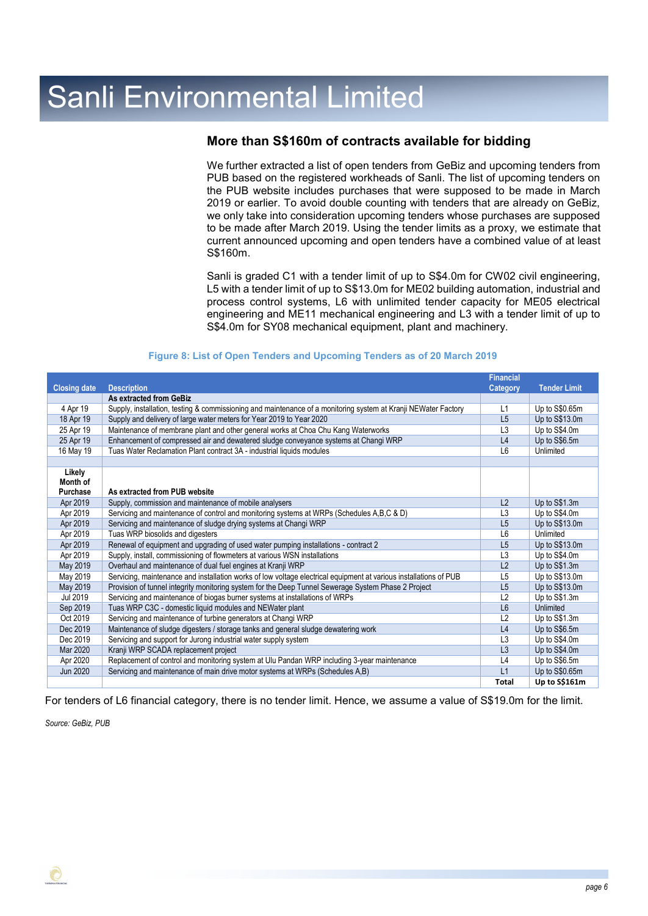## **More than S\$160m of contracts available for bidding**

We further extracted a list of open tenders from GeBiz and upcoming tenders from PUB based on the registered workheads of Sanli. The list of upcoming tenders on the PUB website includes purchases that were supposed to be made in March 2019 or earlier. To avoid double counting with tenders that are already on GeBiz, we only take into consideration upcoming tenders whose purchases are supposed to be made after March 2019. Using the tender limits as a proxy, we estimate that current announced upcoming and open tenders have a combined value of at least S\$160m.

Sanli is graded C1 with a tender limit of up to S\$4.0m for CW02 civil engineering, L5 with a tender limit of up to S\$13.0m for ME02 building automation, industrial and process control systems, L6 with unlimited tender capacity for ME05 electrical engineering and ME11 mechanical engineering and L3 with a tender limit of up to S\$4.0m for SY08 mechanical equipment, plant and machinery.

|                     |                                                                                                                   | <b>Financial</b> |                     |
|---------------------|-------------------------------------------------------------------------------------------------------------------|------------------|---------------------|
| <b>Closing date</b> | <b>Description</b>                                                                                                | Category         | <b>Tender Limit</b> |
|                     | As extracted from GeBiz                                                                                           |                  |                     |
| 4 Apr 19            | Supply, installation, testing & commissioning and maintenance of a monitoring system at Kranji NEWater Factory    | L1               | Up to S\$0.65m      |
| 18 Apr 19           | Supply and delivery of large water meters for Year 2019 to Year 2020                                              | L5               | Up to S\$13.0m      |
| 25 Apr 19           | Maintenance of membrane plant and other general works at Choa Chu Kang Waterworks                                 | L3               | Up to S\$4.0m       |
| 25 Apr 19           | Enhancement of compressed air and dewatered sludge conveyance systems at Changi WRP                               | L4               | Up to S\$6.5m       |
| 16 May 19           | Tuas Water Reclamation Plant contract 3A - industrial liquids modules                                             | L <sub>6</sub>   | Unlimited           |
|                     |                                                                                                                   |                  |                     |
| Likely              |                                                                                                                   |                  |                     |
| Month of            |                                                                                                                   |                  |                     |
| Purchase            | As extracted from PUB website                                                                                     |                  |                     |
| Apr 2019            | Supply, commission and maintenance of mobile analysers                                                            | L2               | Up to S\$1.3m       |
| Apr 2019            | Servicing and maintenance of control and monitoring systems at WRPs (Schedules A,B,C & D)                         | L3               | Up to S\$4.0m       |
| Apr 2019            | Servicing and maintenance of sludge drying systems at Changi WRP                                                  | L5               | Up to S\$13.0m      |
| Apr 2019            | Tuas WRP biosolids and digesters                                                                                  | L <sub>6</sub>   | Unlimited           |
| Apr 2019            | Renewal of equipment and upgrading of used water pumping installations - contract 2                               | L5               | Up to S\$13.0m      |
| Apr 2019            | Supply, install, commissioning of flowmeters at various WSN installations                                         | L <sub>3</sub>   | Up to S\$4.0m       |
| May 2019            | Overhaul and maintenance of dual fuel engines at Kranji WRP                                                       | L2               | Up to S\$1.3m       |
| May 2019            | Servicing, maintenance and installation works of low voltage electrical equipment at various installations of PUB | L <sub>5</sub>   | Up to S\$13.0m      |
| May 2019            | Provision of tunnel integrity monitoring system for the Deep Tunnel Sewerage System Phase 2 Project               | L5               | Up to S\$13.0m      |
| Jul 2019            | Servicing and maintenance of biogas burner systems at installations of WRPs                                       | L2               | Up to S\$1.3m       |
| Sep 2019            | Tuas WRP C3C - domestic liquid modules and NEWater plant                                                          | L <sub>6</sub>   | Unlimited           |
| Oct 2019            | Servicing and maintenance of turbine generators at Changi WRP                                                     | L2               | Up to S\$1.3m       |
| Dec 2019            | Maintenance of sludge digesters / storage tanks and general sludge dewatering work                                | L4               | Up to S\$6.5m       |
| Dec 2019            | Servicing and support for Jurong industrial water supply system                                                   | L <sub>3</sub>   | Up to S\$4.0m       |
| Mar 2020            | Kranji WRP SCADA replacement project                                                                              | L3               | Up to S\$4.0m       |
| Apr 2020            | Replacement of control and monitoring system at Ulu Pandan WRP including 3-year maintenance                       | L4               | Up to S\$6.5m       |
| <b>Jun 2020</b>     | Servicing and maintenance of main drive motor systems at WRPs (Schedules A,B)                                     | L1               | Up to S\$0.65m      |
|                     |                                                                                                                   | <b>Total</b>     | Up to S\$161m       |

#### **Figure 8: List of Open Tenders and Upcoming Tenders as of 20 March 2019**

For tenders of L6 financial category, there is no tender limit. Hence, we assume a value of S\$19.0m for the limit.

*Source: GeBiz, PUB*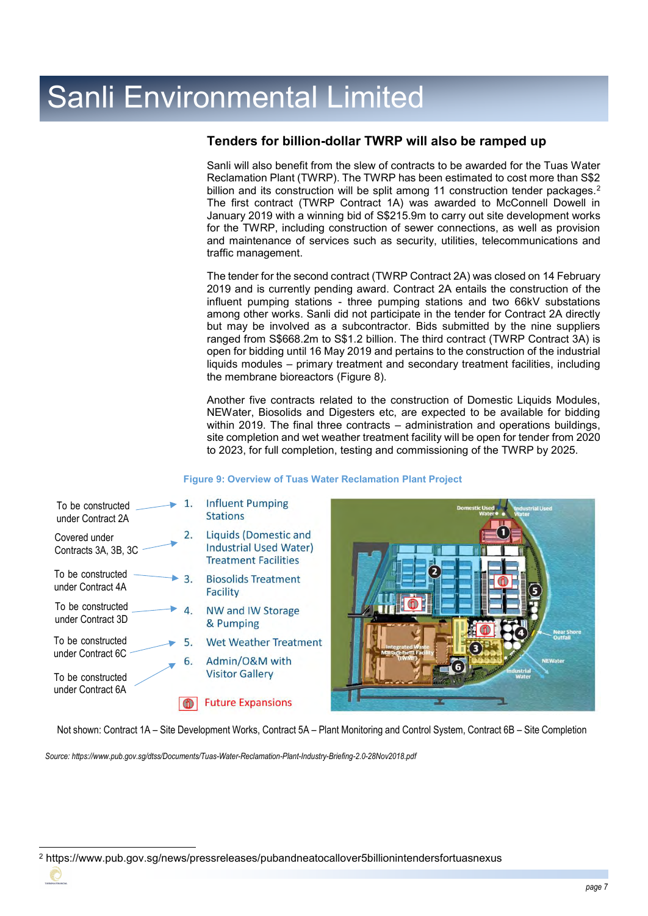## **Tenders for billion-dollar TWRP will also be ramped up**

Sanli will also benefit from the slew of contracts to be awarded for the Tuas Water Reclamation Plant (TWRP). The TWRP has been estimated to cost more than S\$2 billion and its construction will be split among 11 construction tender packages.<sup>2</sup> The first contract (TWRP Contract 1A) was awarded to McConnell Dowell in January 2019 with a winning bid of S\$215.9m to carry out site development works for the TWRP, including construction of sewer connections, as well as provision and maintenance of services such as security, utilities, telecommunications and traffic management.

The tender for the second contract (TWRP Contract 2A) was closed on 14 February 2019 and is currently pending award. Contract 2A entails the construction of the influent pumping stations - three pumping stations and two 66kV substations among other works. Sanli did not participate in the tender for Contract 2A directly but may be involved as a subcontractor. Bids submitted by the nine suppliers ranged from S\$668.2m to S\$1.2 billion. The third contract (TWRP Contract 3A) is open for bidding until 16 May 2019 and pertains to the construction of the industrial liquids modules – primary treatment and secondary treatment facilities, including the membrane bioreactors (Figure 8).

Another five contracts related to the construction of Domestic Liquids Modules, NEWater, Biosolids and Digesters etc, are expected to be available for bidding within 2019. The final three contracts – administration and operations buildings, site completion and wet weather treatment facility will be open for tender from 2020 to 2023, for full completion, testing and commissioning of the TWRP by 2025.

### **Figure 9: Overview of Tuas Water Reclamation Plant Project**



Not shown: Contract 1A – Site Development Works, Contract 5A – Plant Monitoring and Control System, Contract 6B – Site Completion

*Source: https://www.pub.gov.sg/dtss/Documents/Tuas-Water-Reclamation-Plant-Industry-Briefing-2.0-28Nov2018.pdf*

<sup>-</sup><sup>2</sup> https://www.pub.gov.sg/news/pressreleases/pubandneatocallover5billionintendersfortuasnexus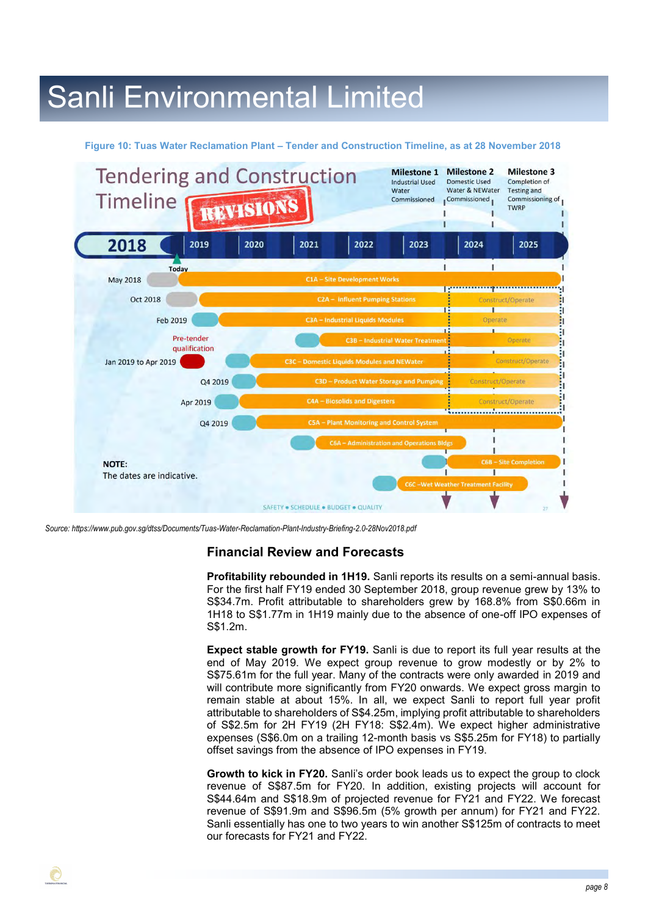#### **Figure 10: Tuas Water Reclamation Plant – Tender and Construction Timeline, as at 28 November 2018**



*Source: https://www.pub.gov.sg/dtss/Documents/Tuas-Water-Reclamation-Plant-Industry-Briefing-2.0-28Nov2018.pdf*

### **Financial Review and Forecasts**

**Profitability rebounded in 1H19.** Sanli reports its results on a semi-annual basis. For the first half FY19 ended 30 September 2018, group revenue grew by 13% to S\$34.7m. Profit attributable to shareholders grew by 168.8% from S\$0.66m in 1H18 to S\$1.77m in 1H19 mainly due to the absence of one-off IPO expenses of S\$1.2m.

**Expect stable growth for FY19.** Sanli is due to report its full year results at the end of May 2019. We expect group revenue to grow modestly or by 2% to S\$75.61m for the full year. Many of the contracts were only awarded in 2019 and will contribute more significantly from FY20 onwards. We expect gross margin to remain stable at about 15%. In all, we expect Sanli to report full year profit attributable to shareholders of S\$4.25m, implying profit attributable to shareholders of S\$2.5m for 2H FY19 (2H FY18: S\$2.4m). We expect higher administrative expenses (S\$6.0m on a trailing 12-month basis vs S\$5.25m for FY18) to partially offset savings from the absence of IPO expenses in FY19.

**Growth to kick in FY20.** Sanli's order book leads us to expect the group to clock revenue of S\$87.5m for FY20. In addition, existing projects will account for S\$44.64m and S\$18.9m of projected revenue for FY21 and FY22. We forecast revenue of S\$91.9m and S\$96.5m (5% growth per annum) for FY21 and FY22. Sanli essentially has one to two years to win another S\$125m of contracts to meet our forecasts for FY21 and FY22.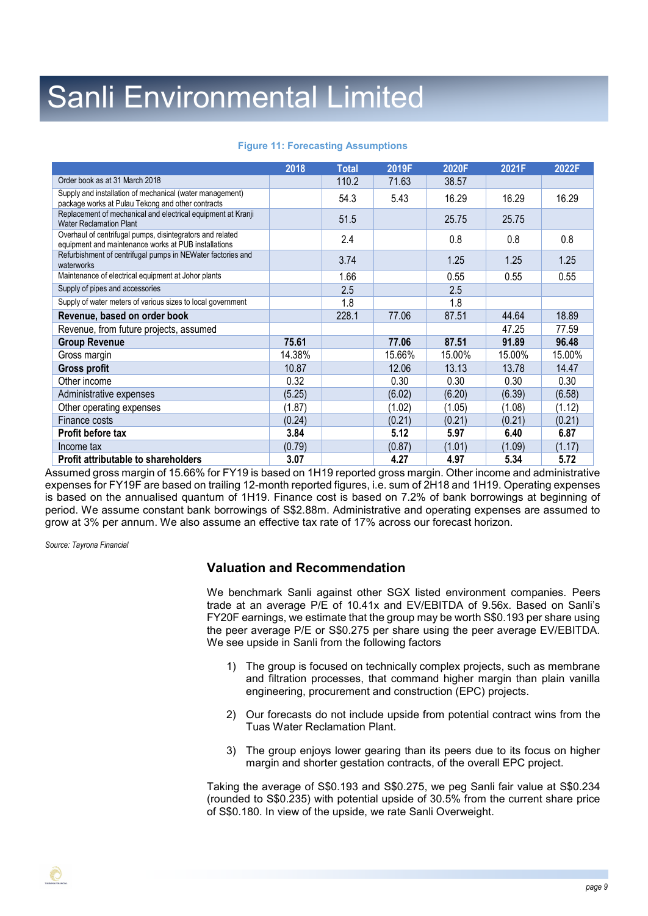#### **Figure 11: Forecasting Assumptions**

|                                                                                                                   | 2018   | <b>Total</b> | 2019F  | 2020F  | 2021F  | 2022F  |
|-------------------------------------------------------------------------------------------------------------------|--------|--------------|--------|--------|--------|--------|
| Order book as at 31 March 2018                                                                                    |        | 110.2        | 71.63  | 38.57  |        |        |
| Supply and installation of mechanical (water management)<br>package works at Pulau Tekong and other contracts     |        | 54.3         | 5.43   | 16.29  | 16.29  | 16.29  |
| Replacement of mechanical and electrical equipment at Kranji<br><b>Water Reclamation Plant</b>                    |        | 51.5         |        | 25.75  | 25.75  |        |
| Overhaul of centrifugal pumps, disintegrators and related<br>equipment and maintenance works at PUB installations |        | 2.4          |        | 0.8    | 0.8    | 0.8    |
| Refurbishment of centrifugal pumps in NEWater factories and<br>waterworks                                         |        | 3.74         |        | 1.25   | 1.25   | 1.25   |
| Maintenance of electrical equipment at Johor plants                                                               |        | 1.66         |        | 0.55   | 0.55   | 0.55   |
| Supply of pipes and accessories                                                                                   |        | 2.5          |        | 2.5    |        |        |
| Supply of water meters of various sizes to local government                                                       |        | 1.8          |        | 1.8    |        |        |
| Revenue, based on order book                                                                                      |        | 228.1        | 77.06  | 87.51  | 44.64  | 18.89  |
| Revenue, from future projects, assumed                                                                            |        |              |        |        | 47.25  | 77.59  |
| <b>Group Revenue</b>                                                                                              | 75.61  |              | 77.06  | 87.51  | 91.89  | 96.48  |
| Gross margin                                                                                                      | 14.38% |              | 15.66% | 15.00% | 15.00% | 15.00% |
| <b>Gross profit</b>                                                                                               | 10.87  |              | 12.06  | 13.13  | 13.78  | 14.47  |
| Other income                                                                                                      | 0.32   |              | 0.30   | 0.30   | 0.30   | 0.30   |
| Administrative expenses                                                                                           | (5.25) |              | (6.02) | (6.20) | (6.39) | (6.58) |
| Other operating expenses                                                                                          | (1.87) |              | (1.02) | (1.05) | (1.08) | (1.12) |
| Finance costs                                                                                                     | (0.24) |              | (0.21) | (0.21) | (0.21) | (0.21) |
| <b>Profit before tax</b>                                                                                          | 3.84   |              | 5.12   | 5.97   | 6.40   | 6.87   |
| Income tax                                                                                                        | (0.79) |              | (0.87) | (1.01) | (1.09) | (1.17) |
| <b>Profit attributable to shareholders</b>                                                                        | 3.07   |              | 4.27   | 4.97   | 5.34   | 5.72   |

Assumed gross margin of 15.66% for FY19 is based on 1H19 reported gross margin. Other income and administrative expenses for FY19F are based on trailing 12-month reported figures, i.e. sum of 2H18 and 1H19. Operating expenses is based on the annualised quantum of 1H19. Finance cost is based on 7.2% of bank borrowings at beginning of period. We assume constant bank borrowings of S\$2.88m. Administrative and operating expenses are assumed to grow at 3% per annum. We also assume an effective tax rate of 17% across our forecast horizon.

*Source: Tayrona Financial*

### **Valuation and Recommendation**

We benchmark Sanli against other SGX listed environment companies. Peers trade at an average P/E of 10.41x and EV/EBITDA of 9.56x. Based on Sanli's FY20F earnings, we estimate that the group may be worth S\$0.193 per share using the peer average P/E or S\$0.275 per share using the peer average EV/EBITDA. We see upside in Sanli from the following factors

- 1) The group is focused on technically complex projects, such as membrane and filtration processes, that command higher margin than plain vanilla engineering, procurement and construction (EPC) projects.
- 2) Our forecasts do not include upside from potential contract wins from the Tuas Water Reclamation Plant.
- 3) The group enjoys lower gearing than its peers due to its focus on higher margin and shorter gestation contracts, of the overall EPC project.

Taking the average of S\$0.193 and S\$0.275, we peg Sanli fair value at S\$0.234 (rounded to S\$0.235) with potential upside of 30.5% from the current share price of S\$0.180. In view of the upside, we rate Sanli Overweight.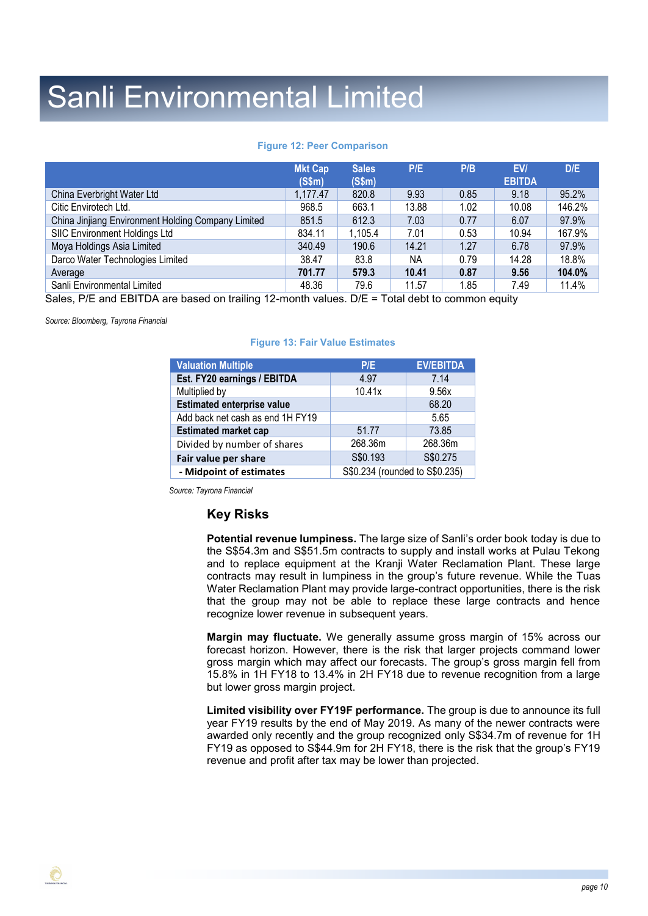### **Figure 12: Peer Comparison**

|                                                    | <b>Mkt Cap</b><br>(S\$m) | <b>Sales</b><br>(S\$m) | P/E   | P/B  | EV/<br><b>EBITDA</b> | D/E    |
|----------------------------------------------------|--------------------------|------------------------|-------|------|----------------------|--------|
| China Everbright Water Ltd                         | 1,177.47                 | 820.8                  | 9.93  | 0.85 | 9.18                 | 95.2%  |
| Citic Envirotech Ltd.                              | 968.5                    | 663.1                  | 13.88 | 1.02 | 10.08                | 146.2% |
| China Jinjiang Environment Holding Company Limited | 851.5                    | 612.3                  | 7.03  | 0.77 | 6.07                 | 97.9%  |
| SIIC Environment Holdings Ltd                      | 834.11                   | 1,105.4                | 7.01  | 0.53 | 10.94                | 167.9% |
| Moya Holdings Asia Limited                         | 340.49                   | 190.6                  | 14.21 | 1.27 | 6.78                 | 97.9%  |
| Darco Water Technologies Limited                   | 38.47                    | 83.8                   | ΝA    | 0.79 | 14.28                | 18.8%  |
| Average                                            | 701.77                   | 579.3                  | 10.41 | 0.87 | 9.56                 | 104.0% |
| Sanli Environmental Limited                        | 48.36                    | 79.6                   | 11.57 | 1.85 | 7.49                 | 11.4%  |

Sales, P/E and EBITDA are based on trailing 12-month values. D/E = Total debt to common equity

*Source: Bloomberg, Tayrona Financial*

### **Figure 13: Fair Value Estimates**

| <b>Valuation Multiple</b>         | P/E                            | <b>EV/EBITDA</b> |  |  |
|-----------------------------------|--------------------------------|------------------|--|--|
| Est. FY20 earnings / EBITDA       | 4.97                           | 7.14             |  |  |
| Multiplied by                     | 10.41x                         | 9.56x            |  |  |
| <b>Estimated enterprise value</b> |                                | 68.20            |  |  |
| Add back net cash as end 1H FY19  |                                | 5.65             |  |  |
| <b>Estimated market cap</b>       | 51.77                          | 73.85            |  |  |
| Divided by number of shares       | 268.36m                        | 268.36m          |  |  |
| Fair value per share              | S\$0.193<br>S\$0.275           |                  |  |  |
| - Midpoint of estimates           | S\$0.234 (rounded to S\$0.235) |                  |  |  |

*Source: Tayrona Financial*

### **Key Risks**

**Potential revenue lumpiness.** The large size of Sanli's order book today is due to the S\$54.3m and S\$51.5m contracts to supply and install works at Pulau Tekong and to replace equipment at the Kranji Water Reclamation Plant. These large contracts may result in lumpiness in the group's future revenue. While the Tuas Water Reclamation Plant may provide large-contract opportunities, there is the risk that the group may not be able to replace these large contracts and hence recognize lower revenue in subsequent years.

**Margin may fluctuate.** We generally assume gross margin of 15% across our forecast horizon. However, there is the risk that larger projects command lower gross margin which may affect our forecasts. The group's gross margin fell from 15.8% in 1H FY18 to 13.4% in 2H FY18 due to revenue recognition from a large but lower gross margin project.

**Limited visibility over FY19F performance.** The group is due to announce its full year FY19 results by the end of May 2019. As many of the newer contracts were awarded only recently and the group recognized only S\$34.7m of revenue for 1H FY19 as opposed to S\$44.9m for 2H FY18, there is the risk that the group's FY19 revenue and profit after tax may be lower than projected.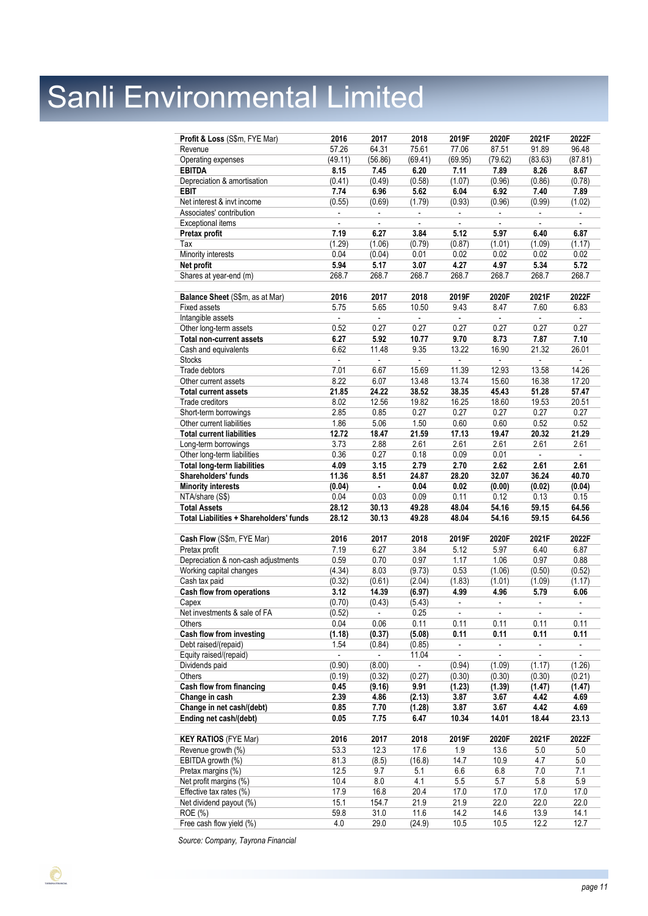| Profit & Loss (S\$m, FYE Mar)           | 2016                     | 2017                     | 2018                     | 2019F                    | 2020F                    | 2021F                    | 2022F                    |
|-----------------------------------------|--------------------------|--------------------------|--------------------------|--------------------------|--------------------------|--------------------------|--------------------------|
| Revenue                                 | 57.26                    | 64.31                    | 75.61                    | 77.06                    | 87.51                    | 91.89                    | 96.48                    |
| Operating expenses                      | (49.11)                  | (56.86)                  | (69.41)                  | (69.95)                  | (79.62)                  | (83.63)                  | (87.81)                  |
| <b>EBITDA</b>                           | 8.15                     | 7.45                     | 6.20                     | 7.11                     | 7.89                     | 8.26                     | 8.67                     |
| Depreciation & amortisation             | (0.41)                   | (0.49)                   | (0.58)                   | (1.07)                   | (0.96)                   | (0.86)                   | (0.78)                   |
| <b>EBIT</b>                             | 7.74                     | 6.96                     | 5.62                     | 6.04                     | 6.92                     | 7.40                     | 7.89                     |
| Net interest & invt income              | (0.55)                   | (0.69)                   | (1.79)                   | (0.93)                   | (0.96)                   | (0.99)                   | (1.02)                   |
| Associates' contribution                | $\blacksquare$           | $\blacksquare$           | $\blacksquare$           |                          | $\blacksquare$           |                          | $\blacksquare$           |
| Exceptional items                       |                          |                          |                          |                          |                          |                          |                          |
| Pretax profit                           | 7.19                     | 6.27                     | 3.84                     | 5.12                     | 5.97                     | 6.40                     | 6.87                     |
| Tax                                     | (1.29)                   | (1.06)                   | (0.79)                   | (0.87)                   | (1.01)                   | (1.09)                   | (1.17)                   |
| Minority interests                      | 0.04                     | (0.04)                   | 0.01                     | 0.02                     | 0.02                     | 0.02                     | 0.02                     |
| Net profit                              | 5.94                     | 5.17                     | 3.07                     | 4.27                     | 4.97                     | 5.34                     | 5.72                     |
| Shares at year-end (m)                  | 268.7                    | 268.7                    | 268.7                    | 268.7                    | 268.7                    | 268.7                    | 268.7                    |
|                                         |                          |                          |                          |                          |                          |                          |                          |
| Balance Sheet (S\$m, as at Mar)         | 2016                     | 2017                     | 2018                     | 2019F                    | 2020F                    | 2021F                    | 2022F                    |
| <b>Fixed assets</b>                     | 5.75                     | 5.65                     | 10.50                    | 9.43                     | 8.47                     | 7.60                     | 6.83                     |
| Intangible assets                       | $\blacksquare$           | $\overline{\phantom{a}}$ | $\blacksquare$           |                          | $\overline{\phantom{a}}$ |                          |                          |
| Other long-term assets                  | 0.52                     | 0.27                     | 0.27                     | 0.27                     | 0.27                     | 0.27                     | 0.27                     |
| Total non-current assets                | 6.27                     | 5.92                     | 10.77                    | 9.70                     | 8.73                     | 7.87                     | 7.10                     |
| Cash and equivalents                    | 6.62                     | 11.48                    | 9.35                     | 13.22                    | 16.90                    | 21.32                    | 26.01                    |
| <b>Stocks</b>                           | $\overline{\phantom{a}}$ | $\overline{\phantom{a}}$ | ÷,                       |                          | $\overline{\phantom{a}}$ |                          |                          |
| Trade debtors                           | 7.01                     | 6.67                     | 15.69                    | 11.39                    | 12.93                    | 13.58                    | 14.26                    |
| Other current assets                    | 8.22                     | 6.07                     | 13.48                    | 13.74                    | 15.60                    | 16.38                    | 17.20                    |
| <b>Total current assets</b>             | 21.85                    | 24.22                    | 38.52                    | 38.35                    | 45.43                    | 51.28                    | 57.47                    |
| Trade creditors                         | 8.02                     | 12.56                    | 19.82                    | 16.25                    | 18.60                    | 19.53                    | 20.51                    |
| Short-term borrowings                   | 2.85                     | 0.85                     | 0.27                     | 0.27                     | 0.27                     | 0.27                     | 0.27                     |
| Other current liabilities               | 1.86                     | 5.06                     | 1.50                     | 0.60                     | 0.60                     | 0.52                     | 0.52                     |
| <b>Total current liabilities</b>        | 12.72                    | 18.47                    | 21.59                    | 17.13                    | 19.47                    | 20.32                    | 21.29                    |
| Long-term borrowings                    | 3.73                     | 2.88                     | 2.61                     | 2.61                     | 2.61                     | 2.61                     | 2.61                     |
| Other long-term liabilities             | 0.36                     | 0.27                     | 0.18                     | 0.09                     | 0.01                     |                          | $\blacksquare$           |
| <b>Total long-term liabilities</b>      | 4.09                     | 3.15                     | 2.79                     | 2.70                     | 2.62                     | 2.61                     | 2.61                     |
| Shareholders' funds                     | 11.36                    | 8.51                     | 24.87                    | 28.20                    | 32.07                    | 36.24                    | 40.70                    |
| <b>Minority interests</b>               | (0.04)                   | $\blacksquare$           | 0.04                     | 0.02                     | (0.00)                   | (0.02)                   | (0.04)                   |
| NTA/share (S\$)                         | 0.04                     | 0.03                     | 0.09                     | 0.11                     | 0.12                     | 0.13                     | 0.15                     |
| <b>Total Assets</b>                     | 28.12                    | 30.13                    | 49.28                    | 48.04                    | 54.16                    | 59.15                    | 64.56                    |
| Total Liabilities + Shareholders' funds | 28.12                    | 30.13                    | 49.28                    | 48.04                    | 54.16                    | 59.15                    | 64.56                    |
| Cash Flow (S\$m, FYE Mar)               | 2016                     | 2017                     | 2018                     | 2019F                    | 2020F                    | 2021F                    | 2022F                    |
| Pretax profit                           | 7.19                     | 6.27                     | 3.84                     | 5.12                     | 5.97                     | 6.40                     | 6.87                     |
| Depreciation & non-cash adjustments     | 0.59                     | 0.70                     | 0.97                     | 1.17                     | 1.06                     | 0.97                     | 0.88                     |
| Working capital changes                 | (4.34)                   | 8.03                     | (9.73)                   | 0.53                     | (1.06)                   | (0.50)                   | (0.52)                   |
| Cash tax paid                           | (0.32)                   | (0.61)                   | (2.04)                   | (1.83)                   | (1.01)                   | (1.09)                   | (1.17)                   |
| Cash flow from operations               | 3.12                     | 14.39                    | (6.97)                   | 4.99                     | 4.96                     | 5.79                     | 6.06                     |
| Capex                                   | (0.70)                   | (0.43)                   | (5.43)                   | $\overline{\phantom{a}}$ | $\overline{\phantom{a}}$ | $\overline{\phantom{a}}$ | $\overline{\phantom{a}}$ |
|                                         |                          |                          |                          |                          |                          |                          |                          |
| Net investments & sale of FA            | (0.52)                   |                          | 0.25                     |                          |                          |                          |                          |
| Others                                  | 0.04                     | 0.06                     | 0.11                     | 0.11                     | 0.11                     | 0.11                     | 0.11                     |
| Cash flow from investing                | (1.18)                   | (0.37)                   | (5.08)                   | 0.11                     | 0.11                     | 0.11                     | 0.11                     |
| Debt raised/(repaid)                    | 1.54                     | (0.84)                   | (0.85)                   | $\overline{\phantom{a}}$ | $\blacksquare$           | $\overline{\phantom{a}}$ |                          |
| Equity raised/(repaid)                  | $\blacksquare$           | $\overline{\phantom{a}}$ | 11.04                    | $\overline{\phantom{a}}$ | $\overline{\phantom{a}}$ | $\blacksquare$           | $\overline{\phantom{a}}$ |
| Dividends paid                          | (0.90)                   | (8.00)                   | $\overline{\phantom{a}}$ | (0.94)                   | (1.09)                   | (1.17)                   | (1.26)                   |
| <b>Others</b>                           | (0.19)                   | (0.32)                   | (0.27)                   | (0.30)                   | (0.30)                   | (0.30)                   | (0.21)                   |
| Cash flow from financing                | 0.45                     | (9.16)                   | 9.91                     | (1.23)                   | (1.39)                   | (1.47)                   | (1.47)                   |
| Change in cash                          | 2.39                     | 4.86                     | (2.13)                   | 3.87                     | 3.67                     | 4.42                     | 4.69                     |
| Change in net cash/(debt)               | 0.85                     | 7.70                     | (1.28)                   | 3.87                     | 3.67                     | 4.42                     | 4.69                     |
| Ending net cash/(debt)                  | 0.05                     | 7.75                     | 6.47                     | 10.34                    | 14.01                    | 18.44                    | 23.13                    |
|                                         |                          |                          |                          |                          |                          |                          |                          |
| <b>KEY RATIOS (FYE Mar)</b>             | 2016                     | 2017                     | 2018                     | 2019F                    | 2020F                    | 2021F                    | 2022F                    |
| Revenue growth (%)                      | 53.3                     | 12.3                     | 17.6                     | 1.9                      | 13.6                     | 5.0                      | 5.0                      |
| EBITDA growth (%)                       | 81.3                     | (8.5)                    | (16.8)                   | 14.7                     | 10.9                     | 4.7                      | 5.0                      |
| Pretax margins (%)                      | 12.5                     | 9.7                      | 5.1                      | 6.6                      | 6.8                      | 7.0                      | 7.1                      |
| Net profit margins (%)                  | 10.4                     | 8.0                      | 4.1                      | 5.5                      | 5.7                      | 5.8                      | 5.9                      |
| Effective tax rates (%)                 | 17.9<br>15.1             | 16.8                     | 20.4                     | 17.0<br>21.9             | 17.0<br>22.0             | 17.0                     | 17.0<br>22.0             |
| Net dividend payout (%)<br>ROE (%)      | 59.8                     | 154.7<br>31.0            | 21.9<br>11.6             | 14.2                     | 14.6                     | 22.0<br>13.9             | 14.1                     |

*Source: Company, Tayrona Financial*